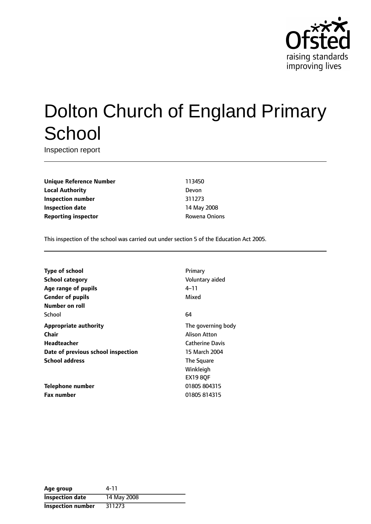

# Dolton Church of England Primary **School**

Inspection report

**Unique Reference Number** 113450 **Local Authority** Devon **Inspection number** 311273 **Inspection date** 14 May 2008 **Reporting inspector CONFIDENTIAL ROWENA CONTRACTLE ROWENA ONIONS** 

This inspection of the school was carried out under section 5 of the Education Act 2005.

| <b>Type of school</b>              | Primary                |
|------------------------------------|------------------------|
| School category                    | Voluntary aided        |
| Age range of pupils                | $4 - 11$               |
| <b>Gender of pupils</b>            | Mixed                  |
| Number on roll                     |                        |
| School                             | 64                     |
| <b>Appropriate authority</b>       | The governing body     |
| Chair                              | Alison Atton           |
| Headteacher                        | <b>Catherine Davis</b> |
| Date of previous school inspection | 15 March 2004          |
| <b>School address</b>              | The Square             |
|                                    | Winkleigh              |
|                                    | <b>EX19 80F</b>        |
| Telephone number                   | 01805 804315           |
| <b>Fax number</b>                  | 01805 814315           |

| Age group                | 4-11        |
|--------------------------|-------------|
| <b>Inspection date</b>   | 14 May 2008 |
| <b>Inspection number</b> | 311273      |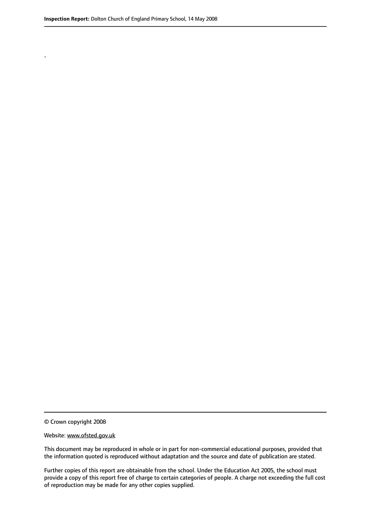.

© Crown copyright 2008

#### Website: www.ofsted.gov.uk

This document may be reproduced in whole or in part for non-commercial educational purposes, provided that the information quoted is reproduced without adaptation and the source and date of publication are stated.

Further copies of this report are obtainable from the school. Under the Education Act 2005, the school must provide a copy of this report free of charge to certain categories of people. A charge not exceeding the full cost of reproduction may be made for any other copies supplied.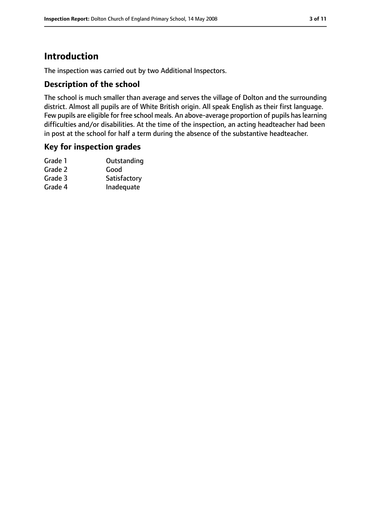# **Introduction**

The inspection was carried out by two Additional Inspectors.

## **Description of the school**

The school is much smaller than average and serves the village of Dolton and the surrounding district. Almost all pupils are of White British origin. All speak English as their first language. Few pupils are eligible for free school meals. An above-average proportion of pupils haslearning difficulties and/or disabilities. At the time of the inspection, an acting headteacher had been in post at the school for half a term during the absence of the substantive headteacher.

## **Key for inspection grades**

| Grade 1 | Outstanding  |
|---------|--------------|
| Grade 2 | Good         |
| Grade 3 | Satisfactory |
| Grade 4 | Inadequate   |
|         |              |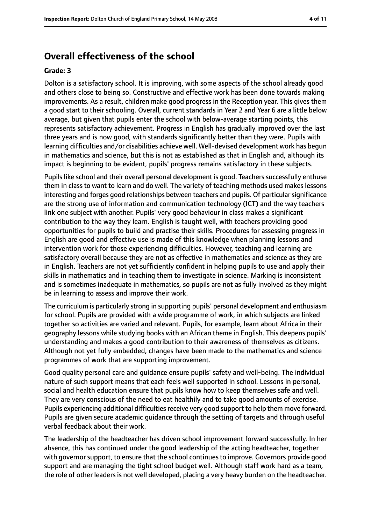# **Overall effectiveness of the school**

#### **Grade: 3**

Dolton is a satisfactory school. It is improving, with some aspects of the school already good and others close to being so. Constructive and effective work has been done towards making improvements. As a result, children make good progress in the Reception year. This gives them a good start to their schooling. Overall, current standards in Year 2 and Year 6 are a little below average, but given that pupils enter the school with below-average starting points, this represents satisfactory achievement. Progress in English has gradually improved over the last three years and is now good, with standards significantly better than they were. Pupils with learning difficulties and/or disabilities achieve well. Well-devised development work has begun in mathematics and science, but this is not as established as that in English and, although its impact is beginning to be evident, pupils' progress remains satisfactory in these subjects.

Pupils like school and their overall personal development is good. Teachers successfully enthuse them in class to want to learn and do well. The variety of teaching methods used makes lessons interesting and forges good relationships between teachers and pupils. Of particular significance are the strong use of information and communication technology (ICT) and the way teachers link one subject with another. Pupils' very good behaviour in class makes a significant contribution to the way they learn. English is taught well, with teachers providing good opportunities for pupils to build and practise their skills. Procedures for assessing progress in English are good and effective use is made of this knowledge when planning lessons and intervention work for those experiencing difficulties. However, teaching and learning are satisfactory overall because they are not as effective in mathematics and science as they are in English. Teachers are not yet sufficiently confident in helping pupils to use and apply their skills in mathematics and in teaching them to investigate in science. Marking is inconsistent and is sometimes inadequate in mathematics, so pupils are not as fully involved as they might be in learning to assess and improve their work.

The curriculum is particularly strong in supporting pupils' personal development and enthusiasm for school. Pupils are provided with a wide programme of work, in which subjects are linked together so activities are varied and relevant. Pupils, for example, learn about Africa in their geography lessons while studying books with an African theme in English. This deepens pupils' understanding and makes a good contribution to their awareness of themselves as citizens. Although not yet fully embedded, changes have been made to the mathematics and science programmes of work that are supporting improvement.

Good quality personal care and guidance ensure pupils' safety and well-being. The individual nature of such support means that each feels well supported in school. Lessons in personal, social and health education ensure that pupils know how to keep themselves safe and well. They are very conscious of the need to eat healthily and to take good amounts of exercise. Pupils experiencing additional difficulties receive very good support to help them move forward. Pupils are given secure academic guidance through the setting of targets and through useful verbal feedback about their work.

The leadership of the headteacher has driven school improvement forward successfully. In her absence, this has continued under the good leadership of the acting headteacher, together with governor support, to ensure that the school continues to improve. Governors provide good support and are managing the tight school budget well. Although staff work hard as a team, the role of other leaders is not well developed, placing a very heavy burden on the headteacher.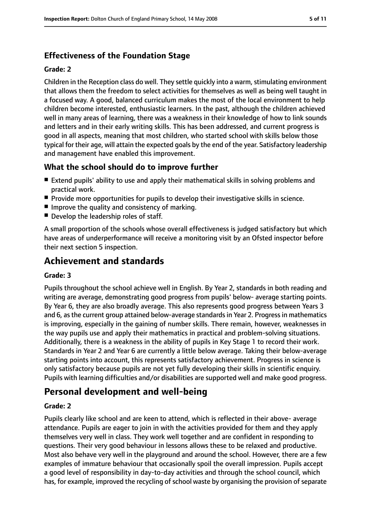# **Effectiveness of the Foundation Stage**

#### **Grade: 2**

Children in the Reception class do well. They settle quickly into a warm, stimulating environment that allows them the freedom to select activities for themselves as well as being well taught in a focused way. A good, balanced curriculum makes the most of the local environment to help children become interested, enthusiastic learners. In the past, although the children achieved well in many areas of learning, there was a weakness in their knowledge of how to link sounds and letters and in their early writing skills. This has been addressed, and current progress is good in all aspects, meaning that most children, who started school with skills below those typical for their age, will attain the expected goals by the end of the year. Satisfactory leadership and management have enabled this improvement.

# **What the school should do to improve further**

- Extend pupils' ability to use and apply their mathematical skills in solving problems and practical work.
- Provide more opportunities for pupils to develop their investigative skills in science.
- Improve the quality and consistency of marking.
- Develop the leadership roles of staff.

A small proportion of the schools whose overall effectiveness is judged satisfactory but which have areas of underperformance will receive a monitoring visit by an Ofsted inspector before their next section 5 inspection.

# **Achievement and standards**

#### **Grade: 3**

Pupils throughout the school achieve well in English. By Year 2, standards in both reading and writing are average, demonstrating good progress from pupils' below- average starting points. By Year 6, they are also broadly average. This also represents good progress between Years 3 and 6, asthe current group attained below-average standardsin Year 2. Progressin mathematics is improving, especially in the gaining of number skills. There remain, however, weaknesses in the way pupils use and apply their mathematics in practical and problem-solving situations. Additionally, there is a weakness in the ability of pupils in Key Stage 1 to record their work. Standards in Year 2 and Year 6 are currently a little below average. Taking their below-average starting points into account, this represents satisfactory achievement. Progress in science is only satisfactory because pupils are not yet fully developing their skills in scientific enquiry. Pupils with learning difficulties and/or disabilities are supported well and make good progress.

# **Personal development and well-being**

#### **Grade: 2**

Pupils clearly like school and are keen to attend, which is reflected in their above- average attendance. Pupils are eager to join in with the activities provided for them and they apply themselves very well in class. They work well together and are confident in responding to questions. Their very good behaviour in lessons allows these to be relaxed and productive. Most also behave very well in the playground and around the school. However, there are a few examples of immature behaviour that occasionally spoil the overall impression. Pupils accept a good level of responsibility in day-to-day activities and through the school council, which has, for example, improved the recycling of school waste by organising the provision of separate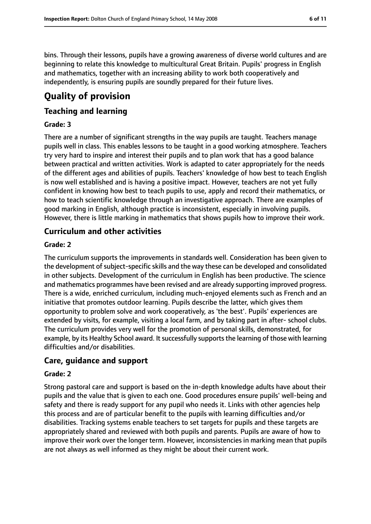bins. Through their lessons, pupils have a growing awareness of diverse world cultures and are beginning to relate this knowledge to multicultural Great Britain. Pupils' progress in English and mathematics, together with an increasing ability to work both cooperatively and independently, is ensuring pupils are soundly prepared for their future lives.

# **Quality of provision**

# **Teaching and learning**

#### **Grade: 3**

There are a number of significant strengths in the way pupils are taught. Teachers manage pupils well in class. This enables lessons to be taught in a good working atmosphere. Teachers try very hard to inspire and interest their pupils and to plan work that has a good balance between practical and written activities. Work is adapted to cater appropriately for the needs of the different ages and abilities of pupils. Teachers' knowledge of how best to teach English is now well established and is having a positive impact. However, teachers are not yet fully confident in knowing how best to teach pupils to use, apply and record their mathematics, or how to teach scientific knowledge through an investigative approach. There are examples of good marking in English, although practice is inconsistent, especially in involving pupils. However, there is little marking in mathematics that shows pupils how to improve their work.

## **Curriculum and other activities**

#### **Grade: 2**

The curriculum supports the improvements in standards well. Consideration has been given to the development of subject-specific skills and the way these can be developed and consolidated in other subjects. Development of the curriculum in English has been productive. The science and mathematics programmes have been revised and are already supporting improved progress. There is a wide, enriched curriculum, including much-enjoyed elements such as French and an initiative that promotes outdoor learning. Pupils describe the latter, which gives them opportunity to problem solve and work cooperatively, as 'the best'. Pupils' experiences are extended by visits, for example, visiting a local farm, and by taking part in after- school clubs. The curriculum provides very well for the promotion of personal skills, demonstrated, for example, by its Healthy School award. It successfully supports the learning of those with learning difficulties and/or disabilities.

## **Care, guidance and support**

#### **Grade: 2**

Strong pastoral care and support is based on the in-depth knowledge adults have about their pupils and the value that is given to each one. Good procedures ensure pupils' well-being and safety and there is ready support for any pupil who needs it. Links with other agencies help this process and are of particular benefit to the pupils with learning difficulties and/or disabilities. Tracking systems enable teachers to set targets for pupils and these targets are appropriately shared and reviewed with both pupils and parents. Pupils are aware of how to improve their work over the longer term. However, inconsistencies in marking mean that pupils are not always as well informed as they might be about their current work.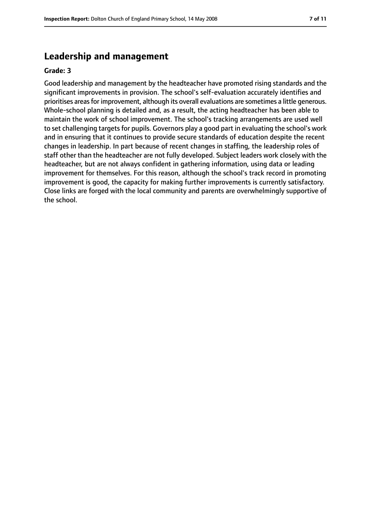# **Leadership and management**

#### **Grade: 3**

Good leadership and management by the headteacher have promoted rising standards and the significant improvements in provision. The school's self-evaluation accurately identifies and prioritises areasfor improvement, although its overall evaluations are sometimes a little generous. Whole-school planning is detailed and, as a result, the acting headteacher has been able to maintain the work of school improvement. The school's tracking arrangements are used well to set challenging targets for pupils. Governors play a good part in evaluating the school's work and in ensuring that it continues to provide secure standards of education despite the recent changes in leadership. In part because of recent changes in staffing, the leadership roles of staff other than the headteacher are not fully developed. Subject leaders work closely with the headteacher, but are not always confident in gathering information, using data or leading improvement for themselves. For this reason, although the school's track record in promoting improvement is good, the capacity for making further improvements is currently satisfactory. Close links are forged with the local community and parents are overwhelmingly supportive of the school.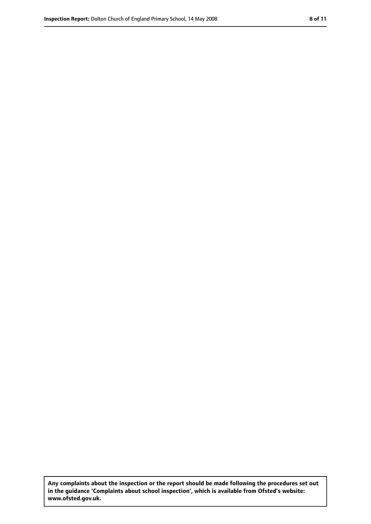**Any complaints about the inspection or the report should be made following the procedures set out in the guidance 'Complaints about school inspection', which is available from Ofsted's website: www.ofsted.gov.uk.**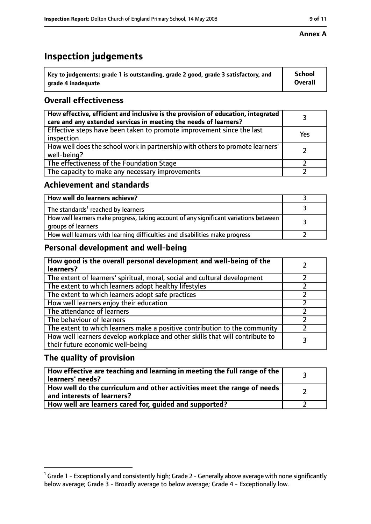# **Inspection judgements**

| $^{\backprime}$ Key to judgements: grade 1 is outstanding, grade 2 good, grade 3 satisfactory, and | School         |
|----------------------------------------------------------------------------------------------------|----------------|
| arade 4 inadequate                                                                                 | <b>Overall</b> |

# **Overall effectiveness**

| How effective, efficient and inclusive is the provision of education, integrated<br>care and any extended services in meeting the needs of learners? |     |
|------------------------------------------------------------------------------------------------------------------------------------------------------|-----|
| Effective steps have been taken to promote improvement since the last<br>inspection                                                                  | Yes |
| How well does the school work in partnership with others to promote learners'<br>well-being?                                                         |     |
| The effectiveness of the Foundation Stage                                                                                                            |     |
| The capacity to make any necessary improvements                                                                                                      |     |

## **Achievement and standards**

| How well do learners achieve?                                                                               |  |
|-------------------------------------------------------------------------------------------------------------|--|
| The standards <sup>1</sup> reached by learners                                                              |  |
| How well learners make progress, taking account of any significant variations between<br>groups of learners |  |
| How well learners with learning difficulties and disabilities make progress                                 |  |

# **Personal development and well-being**

| How good is the overall personal development and well-being of the<br>learners?                                  |  |
|------------------------------------------------------------------------------------------------------------------|--|
| The extent of learners' spiritual, moral, social and cultural development                                        |  |
| The extent to which learners adopt healthy lifestyles                                                            |  |
| The extent to which learners adopt safe practices                                                                |  |
| How well learners enjoy their education                                                                          |  |
| The attendance of learners                                                                                       |  |
| The behaviour of learners                                                                                        |  |
| The extent to which learners make a positive contribution to the community                                       |  |
| How well learners develop workplace and other skills that will contribute to<br>their future economic well-being |  |

# **The quality of provision**

| How effective are teaching and learning in meeting the full range of the<br>learners' needs?          |  |
|-------------------------------------------------------------------------------------------------------|--|
| How well do the curriculum and other activities meet the range of needs<br>and interests of learners? |  |
| How well are learners cared for, guided and supported?                                                |  |

 $^1$  Grade 1 - Exceptionally and consistently high; Grade 2 - Generally above average with none significantly below average; Grade 3 - Broadly average to below average; Grade 4 - Exceptionally low.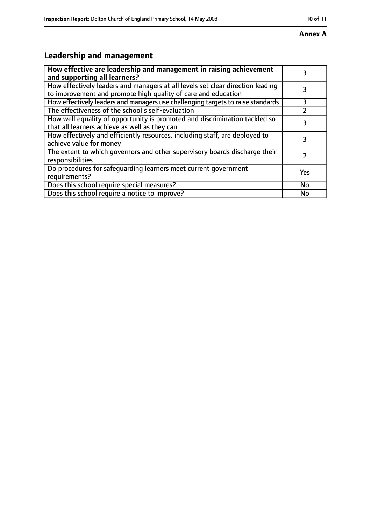#### **Annex A**

# **Leadership and management**

| How effective are leadership and management in raising achievement<br>and supporting all learners?                                              | 3         |
|-------------------------------------------------------------------------------------------------------------------------------------------------|-----------|
| How effectively leaders and managers at all levels set clear direction leading<br>to improvement and promote high quality of care and education |           |
| How effectively leaders and managers use challenging targets to raise standards                                                                 | 3         |
| The effectiveness of the school's self-evaluation                                                                                               |           |
| How well equality of opportunity is promoted and discrimination tackled so<br>that all learners achieve as well as they can                     | 3         |
| How effectively and efficiently resources, including staff, are deployed to<br>achieve value for money                                          | 3         |
| The extent to which governors and other supervisory boards discharge their<br>responsibilities                                                  |           |
| Do procedures for safequarding learners meet current government<br>requirements?                                                                | Yes       |
| Does this school require special measures?                                                                                                      | <b>No</b> |
| Does this school require a notice to improve?                                                                                                   | No        |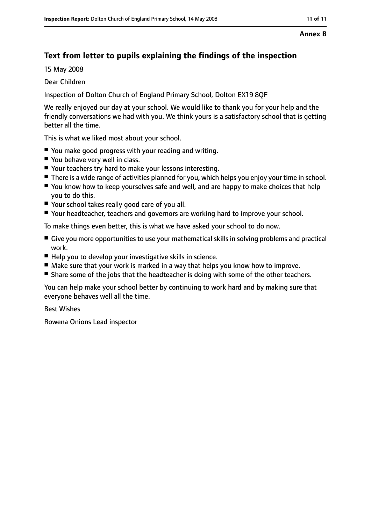#### **Annex B**

# **Text from letter to pupils explaining the findings of the inspection**

15 May 2008

Dear Children

Inspection of Dolton Church of England Primary School, Dolton EX19 8QF

We really enjoyed our day at your school. We would like to thank you for your help and the friendly conversations we had with you. We think yours is a satisfactory school that is getting better all the time.

This is what we liked most about your school.

- You make good progress with your reading and writing.
- You behave very well in class.
- Your teachers try hard to make your lessons interesting.
- There is a wide range of activities planned for you, which helps you enjoy your time in school.
- You know how to keep yourselves safe and well, and are happy to make choices that help you to do this.
- Your school takes really good care of you all.
- Your headteacher, teachers and governors are working hard to improve your school.

To make things even better, this is what we have asked your school to do now.

- Give you more opportunities to use your mathematical skills in solving problems and practical work.
- Help you to develop your investigative skills in science.
- Make sure that your work is marked in a way that helps you know how to improve.
- Share some of the jobs that the headteacher is doing with some of the other teachers.

You can help make your school better by continuing to work hard and by making sure that everyone behaves well all the time.

Best Wishes

Rowena Onions Lead inspector